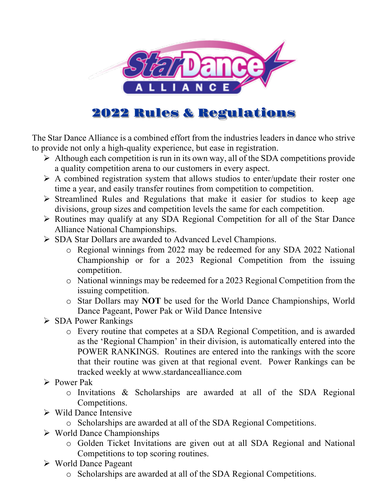

# 2022 Rules & Regulations

The Star Dance Alliance is a combined effort from the industries leaders in dance who strive to provide not only a high-quality experience, but ease in registration.

- $\triangleright$  Although each competition is run in its own way, all of the SDA competitions provide a quality competition arena to our customers in every aspect.
- $\triangleright$  A combined registration system that allows studios to enter/update their roster one time a year, and easily transfer routines from competition to competition.
- $\triangleright$  Streamlined Rules and Regulations that make it easier for studios to keep age divisions, group sizes and competition levels the same for each competition.
- Ø Routines may qualify at any SDA Regional Competition for all of the Star Dance Alliance National Championships.
- $\triangleright$  SDA Star Dollars are awarded to Advanced Level Champions.
	- o Regional winnings from 2022 may be redeemed for any SDA 2022 National Championship or for a 2023 Regional Competition from the issuing competition.
	- o National winnings may be redeemed for a 2023 Regional Competition from the issuing competition.
	- o Star Dollars may **NOT** be used for the World Dance Championships, World Dance Pageant, Power Pak or Wild Dance Intensive
- Ø SDA Power Rankings
	- o Every routine that competes at a SDA Regional Competition, and is awarded as the 'Regional Champion' in their division, is automatically entered into the POWER RANKINGS. Routines are entered into the rankings with the score that their routine was given at that regional event. Power Rankings can be tracked weekly at www.stardancealliance.com
- $\triangleright$  Power Pak
	- o Invitations & Scholarships are awarded at all of the SDA Regional Competitions.
- $\triangleright$  Wild Dance Intensive
	- o Scholarships are awarded at all of the SDA Regional Competitions.
- $\triangleright$  World Dance Championships
	- o Golden Ticket Invitations are given out at all SDA Regional and National Competitions to top scoring routines.
- $\triangleright$  World Dance Pageant
	- o Scholarships are awarded at all of the SDA Regional Competitions.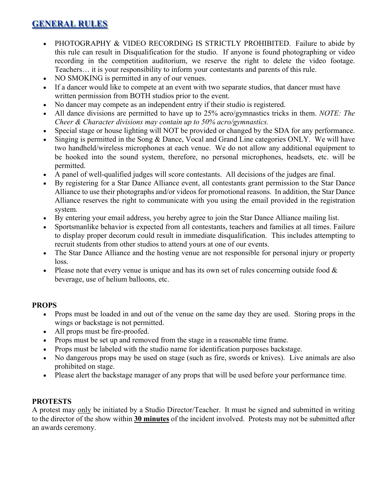## **GENERAL RULES**

- PHOTOGRAPHY & VIDEO RECORDING IS STRICTLY PROHIBITED. Failure to abide by this rule can result in Disqualification for the studio. If anyone is found photographing or video recording in the competition auditorium, we reserve the right to delete the video footage. Teachers… it is your responsibility to inform your contestants and parents of this rule.
- NO SMOKING is permitted in any of our venues.
- If a dancer would like to compete at an event with two separate studios, that dancer must have written permission from BOTH studios prior to the event.
- No dancer may compete as an independent entry if their studio is registered.
- All dance divisions are permitted to have up to 25% acro/gymnastics tricks in them. *NOTE: The Cheer & Character divisions may contain up to 50% acro/gymnastics.*
- Special stage or house lighting will NOT be provided or changed by the SDA for any performance.
- Singing is permitted in the Song & Dance, Vocal and Grand Line categories ONLY. We will have two handheld/wireless microphones at each venue. We do not allow any additional equipment to be hooked into the sound system, therefore, no personal microphones, headsets, etc. will be permitted.
- A panel of well-qualified judges will score contestants. All decisions of the judges are final.
- By registering for a Star Dance Alliance event, all contestants grant permission to the Star Dance Alliance to use their photographs and/or videos for promotional reasons. In addition, the Star Dance Alliance reserves the right to communicate with you using the email provided in the registration system.
- By entering your email address, you hereby agree to join the Star Dance Alliance mailing list.
- Sportsmanlike behavior is expected from all contestants, teachers and families at all times. Failure to display proper decorum could result in immediate disqualification. This includes attempting to recruit students from other studios to attend yours at one of our events.
- The Star Dance Alliance and the hosting venue are not responsible for personal injury or property loss.
- Please note that every venue is unique and has its own set of rules concerning outside food  $\&$ beverage, use of helium balloons, etc.

### **PROPS**

- Props must be loaded in and out of the venue on the same day they are used. Storing props in the wings or backstage is not permitted.
- All props must be fire-proofed.
- Props must be set up and removed from the stage in a reasonable time frame.
- Props must be labeled with the studio name for identification purposes backstage.
- No dangerous props may be used on stage (such as fire, swords or knives). Live animals are also prohibited on stage.
- Please alert the backstage manager of any props that will be used before your performance time.

### **PROTESTS**

A protest may only be initiated by a Studio Director/Teacher. It must be signed and submitted in writing to the director of the show within **30 minutes** of the incident involved. Protests may not be submitted after an awards ceremony.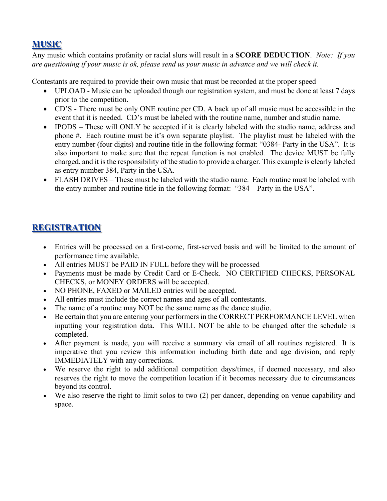## **MUSIC**

Any music which contains profanity or racial slurs will result in a **SCORE DEDUCTION**. *Note: If you are questioning if your music is ok, please send us your music in advance and we will check it.* 

Contestants are required to provide their own music that must be recorded at the proper speed

- UPLOAD Music can be uploaded though our registration system, and must be done at least 7 days prior to the competition.
- CD'S There must be only ONE routine per CD. A back up of all music must be accessible in the event that it is needed. CD's must be labeled with the routine name, number and studio name.
- IPODS These will ONLY be accepted if it is clearly labeled with the studio name, address and phone #. Each routine must be it's own separate playlist. The playlist must be labeled with the entry number (four digits) and routine title in the following format: "0384- Party in the USA". It is also important to make sure that the repeat function is not enabled. The device MUST be fully charged, and it is the responsibility of the studio to provide a charger. This example is clearly labeled as entry number 384, Party in the USA.
- FLASH DRIVES These must be labeled with the studio name. Each routine must be labeled with the entry number and routine title in the following format: "384 – Party in the USA".

## **REGISTRATION**

- Entries will be processed on a first-come, first-served basis and will be limited to the amount of performance time available.
- All entries MUST be PAID IN FULL before they will be processed
- Payments must be made by Credit Card or E-Check. NO CERTIFIED CHECKS, PERSONAL CHECKS, or MONEY ORDERS will be accepted.
- NO PHONE, FAXED or MAILED entries will be accepted.
- All entries must include the correct names and ages of all contestants.
- The name of a routine may NOT be the same name as the dance studio.
- Be certain that you are entering your performers in the CORRECT PERFORMANCE LEVEL when inputting your registration data. This WILL NOT be able to be changed after the schedule is completed.
- After payment is made, you will receive a summary via email of all routines registered. It is imperative that you review this information including birth date and age division, and reply IMMEDIATELY with any corrections.
- We reserve the right to add additional competition days/times, if deemed necessary, and also reserves the right to move the competition location if it becomes necessary due to circumstances beyond its control.
- We also reserve the right to limit solos to two (2) per dancer, depending on venue capability and space.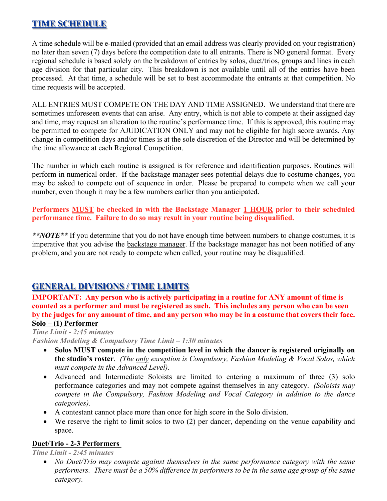## **TIME SCHEDULE**

A time schedule will be e-mailed (provided that an email address was clearly provided on your registration) no later than seven (7) days before the competition date to all entrants. There is NO general format. Every regional schedule is based solely on the breakdown of entries by solos, duet/trios, groups and lines in each age division for that particular city. This breakdown is not available until all of the entries have been processed. At that time, a schedule will be set to best accommodate the entrants at that competition. No time requests will be accepted.

ALL ENTRIES MUST COMPETE ON THE DAY AND TIME ASSIGNED. We understand that there are sometimes unforeseen events that can arise. Any entry, which is not able to compete at their assigned day and time, may request an alteration to the routine's performance time. If this is approved, this routine may be permitted to compete for AJUDICATION ONLY and may not be eligible for high score awards. Any change in competition days and/or times is at the sole discretion of the Director and will be determined by the time allowance at each Regional Competition.

The number in which each routine is assigned is for reference and identification purposes. Routines will perform in numerical order. If the backstage manager sees potential delays due to costume changes, you may be asked to compete out of sequence in order. Please be prepared to compete when we call your number, even though it may be a few numbers earlier than you anticipated.

**Performers MUST be checked in with the Backstage Manager 1 HOUR prior to their scheduled performance time. Failure to do so may result in your routine being disqualified.** 

*\*\*NOTE\*\** If you determine that you do not have enough time between numbers to change costumes, it is imperative that you advise the backstage manager. If the backstage manager has not been notified of any problem, and you are not ready to compete when called, your routine may be disqualified.

## **GENERAL DIVISIONS / TIME LIMITS**

**IMPORTANT: Any person who is actively participating in a routine for ANY amount of time is counted as a performer and must be registered as such. This includes any person who can be seen by the judges for any amount of time, and any person who may be in a costume that covers their face. Solo – (1) Performer**

## *Time Limit - 2:45 minutes*

*Fashion Modeling & Compulsory Time Limit – 1:30 minutes*

- **Solos MUST compete in the competition level in which the dancer is registered originally on the studio's roster**. *(The only exception is Compulsory, Fashion Modeling & Vocal Solos, which must compete in the Advanced Level).*
- Advanced and Intermediate Soloists are limited to entering a maximum of three (3) solo performance categories and may not compete against themselves in any category. *(Soloists may compete in the Compulsory, Fashion Modeling and Vocal Category in addition to the dance categories).*
- A contestant cannot place more than once for high score in the Solo division.
- We reserve the right to limit solos to two (2) per dancer, depending on the venue capability and space.

### **Duet/Trio - 2-3 Performers**

*Time Limit - 2:45 minutes*

• *No Duet/Trio may compete against themselves in the same performance category with the same performers. There must be a 50% difference in performers to be in the same age group of the same category.*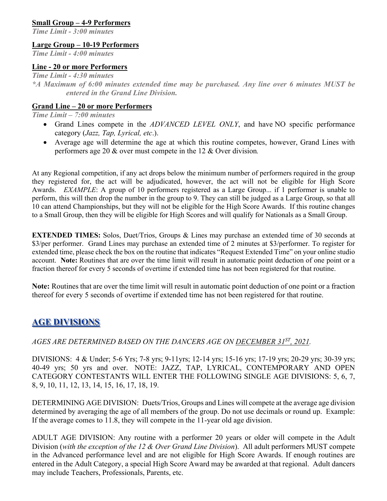### **Small Group – 4-9 Performers**

*Time Limit - 3:00 minutes*

### **Large Group – 10-19 Performers**

*Time Limit - 4:00 minutes*

### **Line - 20 or more Performers**

*Time Limit - 4:30 minutes*

*\*A Maximum of 6:00 minutes extended time may be purchased. Any line over 6 minutes MUST be entered in the Grand Line Division.* 

### **Grand Line – 20 or more Performers**

*Time Limit – 7:00 minutes*

- Grand Lines compete in the *ADVANCED LEVEL ONLY*, and have NO specific performance category (*Jazz, Tap, Lyrical, etc*.).
- Average age will determine the age at which this routine competes, however, Grand Lines with performers age 20 & over must compete in the 12 & Over division*.*

At any Regional competition, if any act drops below the minimum number of performers required in the group they registered for, the act will be adjudicated, however, the act will not be eligible for High Score Awards. *EXAMPLE*: A group of 10 performers registered as a Large Group... if 1 performer is unable to perform, this will then drop the number in the group to 9. They can still be judged as a Large Group, so that all 10 can attend Championships, but they will not be eligible for the High Score Awards. If this routine changes to a Small Group, then they will be eligible for High Scores and will qualify for Nationals as a Small Group.

**EXTENDED TIMES:** Solos, Duet/Trios, Groups & Lines may purchase an extended time of 30 seconds at \$3/per performer. Grand Lines may purchase an extended time of 2 minutes at \$3/performer. To register for extended time, please check the box on the routine that indicates "Request Extended Time" on your online studio account. **Note:** Routines that are over the time limit will result in automatic point deduction of one point or a fraction thereof for every 5 seconds of overtime if extended time has not been registered for that routine.

**Note:** Routines that are over the time limit will result in automatic point deduction of one point or a fraction thereof for every 5 seconds of overtime if extended time has not been registered for that routine.

## **AGE DIVISIONS**

*AGES ARE DETERMINED BASED ON THE DANCERS AGE ON DECEMBER 31ST, 2021.*

DIVISIONS: 4 & Under; 5-6 Yrs; 7-8 yrs; 9-11yrs; 12-14 yrs; 15-16 yrs; 17-19 yrs; 20-29 yrs; 30-39 yrs; 40-49 yrs; 50 yrs and over. NOTE: JAZZ, TAP, LYRICAL, CONTEMPORARY AND OPEN CATEGORY CONTESTANTS WILL ENTER THE FOLLOWING SINGLE AGE DIVISIONS: 5, 6, 7, 8, 9, 10, 11, 12, 13, 14, 15, 16, 17, 18, 19.

DETERMINING AGE DIVISION: Duets/Trios, Groups and Lines will compete at the average age division determined by averaging the age of all members of the group. Do not use decimals or round up. Example: If the average comes to 11.8, they will compete in the 11-year old age division.

ADULT AGE DIVISION: Any routine with a performer 20 years or older will compete in the Adult Division (*with the exception of the 12 & Over Grand Line Division*). All adult performers MUST compete in the Advanced performance level and are not eligible for High Score Awards. If enough routines are entered in the Adult Category, a special High Score Award may be awarded at that regional. Adult dancers may include Teachers, Professionals, Parents, etc.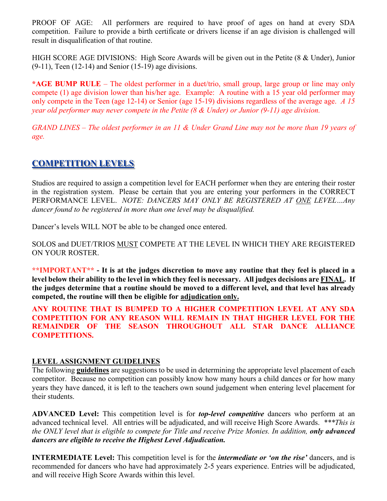PROOF OF AGE: All performers are required to have proof of ages on hand at every SDA competition. Failure to provide a birth certificate or drivers license if an age division is challenged will result in disqualification of that routine.

HIGH SCORE AGE DIVISIONS: High Score Awards will be given out in the Petite (8 & Under), Junior  $(9-11)$ , Teen  $(12-14)$  and Senior  $(15-19)$  age divisions.

**\*AGE BUMP RULE** – The oldest performer in a duet/trio, small group, large group or line may only compete (1) age division lower than his/her age. Example: A routine with a 15 year old performer may only compete in the Teen (age 12-14) or Senior (age 15-19) divisions regardless of the average age. *A 15 year old performer may never compete in the Petite (8 & Under) or Junior (9-11) age division.*

*GRAND LINES – The oldest performer in an 11 & Under Grand Line may not be more than 19 years of age.*

## **COMPETITION LEVELS**

Studios are required to assign a competition level for EACH performer when they are entering their roster in the registration system. Please be certain that you are entering your performers in the CORRECT PERFORMANCE LEVEL. *NOTE: DANCERS MAY ONLY BE REGISTERED AT ONE LEVEL…Any dancer found to be registered in more than one level may be disqualified.*

Dancer's levels WILL NOT be able to be changed once entered.

SOLOS and DUET/TRIOS MUST COMPETE AT THE LEVEL IN WHICH THEY ARE REGISTERED ON YOUR ROSTER.

**\*\*IMPORTANT\*\* - It is at the judges discretion to move any routine that they feel is placed in a level below their ability to the level in which they feel is necessary. All judges decisions are FINAL. If the judges determine that a routine should be moved to a different level, and that level has already competed, the routine will then be eligible for adjudication only.**

**ANY ROUTINE THAT IS BUMPED TO A HIGHER COMPETITION LEVEL AT ANY SDA COMPETITION FOR ANY REASON WILL REMAIN IN THAT HIGHER LEVEL FOR THE REMAINDER OF THE SEASON THROUGHOUT ALL STAR DANCE ALLIANCE COMPETITIONS.** 

### **LEVEL ASSIGNMENT GUIDELINES**

The following **guidelines** are suggestions to be used in determining the appropriate level placement of each competitor. Because no competition can possibly know how many hours a child dances or for how many years they have danced, it is left to the teachers own sound judgement when entering level placement for their students.

**ADVANCED Level:** This competition level is for *top-level competitive* dancers who perform at an advanced technical level. All entries will be adjudicated, and will receive High Score Awards. *\*\*\*This is the ONLY level that is eligible to compete for Title and receive Prize Monies. In addition, only advanced dancers are eligible to receive the Highest Level Adjudication.*

**INTERMEDIATE Level:** This competition level is for the *intermediate or 'on the rise'* dancers, and is recommended for dancers who have had approximately 2-5 years experience. Entries will be adjudicated, and will receive High Score Awards within this level.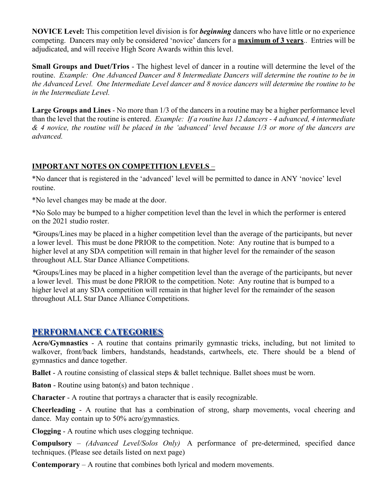**NOVICE Level:** This competition level division is for *beginning* dancers who have little or no experience competing. Dancers may only be considered 'novice' dancers for a **maximum of 3 years**.. Entries will be adjudicated, and will receive High Score Awards within this level.

**Small Groups and Duet/Trios** - The highest level of dancer in a routine will determine the level of the routine. *Example: One Advanced Dancer and 8 Intermediate Dancers will determine the routine to be in the Advanced Level. One Intermediate Level dancer and 8 novice dancers will determine the routine to be in the Intermediate Level.*

**Large Groups and Lines** - No more than 1/3 of the dancers in a routine may be a higher performance level than the level that the routine is entered. *Example: If a routine has 12 dancers - 4 advanced, 4 intermediate & 4 novice, the routine will be placed in the 'advanced' level because 1/3 or more of the dancers are advanced.* 

## **IMPORTANT NOTES ON COMPETITION LEVELS** –

\*No dancer that is registered in the 'advanced' level will be permitted to dance in ANY 'novice' level routine.

\*No level changes may be made at the door.

\*No Solo may be bumped to a higher competition level than the level in which the performer is entered on the 2021 studio roster.

*\**Groups/Lines may be placed in a higher competition level than the average of the participants, but never a lower level. This must be done PRIOR to the competition. Note: Any routine that is bumped to a higher level at any SDA competition will remain in that higher level for the remainder of the season throughout ALL Star Dance Alliance Competitions.

*\**Groups/Lines may be placed in a higher competition level than the average of the participants, but never a lower level. This must be done PRIOR to the competition. Note: Any routine that is bumped to a higher level at any SDA competition will remain in that higher level for the remainder of the season throughout ALL Star Dance Alliance Competitions.

## **PERFORMANCE CATEGORIES**

**Acro/Gymnastics** - A routine that contains primarily gymnastic tricks, including, but not limited to walkover, front/back limbers, handstands, headstands, cartwheels, etc. There should be a blend of gymnastics and dance together.

**Ballet** - A routine consisting of classical steps & ballet technique. Ballet shoes must be worn.

**Baton** - Routine using baton(s) and baton technique.

**Character** - A routine that portrays a character that is easily recognizable.

**Cheerleading** - A routine that has a combination of strong, sharp movements, vocal cheering and dance. May contain up to 50% acro/gymnastics.

**Clogging** - A routine which uses clogging technique.

**Compulsory** – *(Advanced Level/Solos Only)* A performance of pre-determined, specified dance techniques. (Please see details listed on next page)

**Contemporary** – A routine that combines both lyrical and modern movements.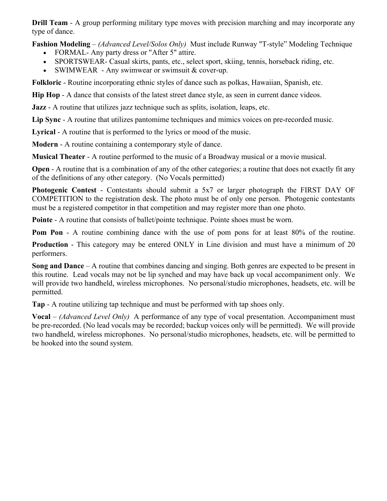**Drill Team** - A group performing military type moves with precision marching and may incorporate any type of dance.

**Fashion Modeling** – *(Advanced Level/Solos Only)* Must include Runway "T-style" Modeling Technique

- FORMAL-Any party dress or "After 5" attire.
- SPORTSWEAR- Casual skirts, pants, etc., select sport, skiing, tennis, horseback riding, etc.
- SWIMWEAR Any swimwear or swimsuit & cover-up.

**Folkloric** - Routine incorporating ethnic styles of dance such as polkas, Hawaiian, Spanish, etc.

**Hip Hop** - A dance that consists of the latest street dance style, as seen in current dance videos.

**Jazz** - A routine that utilizes jazz technique such as splits, isolation, leaps, etc.

**Lip Sync** - A routine that utilizes pantomime techniques and mimics voices on pre-recorded music.

**Lyrical** - A routine that is performed to the lyrics or mood of the music.

**Modern** - A routine containing a contemporary style of dance.

**Musical Theater** - A routine performed to the music of a Broadway musical or a movie musical.

**Open** - A routine that is a combination of any of the other categories; a routine that does not exactly fit any of the definitions of any other category. (No Vocals permitted)

**Photogenic Contest** - Contestants should submit a 5x7 or larger photograph the FIRST DAY OF COMPETITION to the registration desk. The photo must be of only one person. Photogenic contestants must be a registered competitor in that competition and may register more than one photo.

**Pointe** - A routine that consists of ballet/pointe technique. Pointe shoes must be worn.

**Pom Pon** - A routine combining dance with the use of pom pons for at least 80% of the routine.

**Production** - This category may be entered ONLY in Line division and must have a minimum of 20 performers.

**Song and Dance** – A routine that combines dancing and singing. Both genres are expected to be present in this routine. Lead vocals may not be lip synched and may have back up vocal accompaniment only. We will provide two handheld, wireless microphones. No personal/studio microphones, headsets, etc. will be permitted.

**Tap** - A routine utilizing tap technique and must be performed with tap shoes only.

**Vocal** – *(Advanced Level Only)* A performance of any type of vocal presentation. Accompaniment must be pre-recorded. (No lead vocals may be recorded; backup voices only will be permitted). We will provide two handheld, wireless microphones. No personal/studio microphones, headsets, etc. will be permitted to be hooked into the sound system.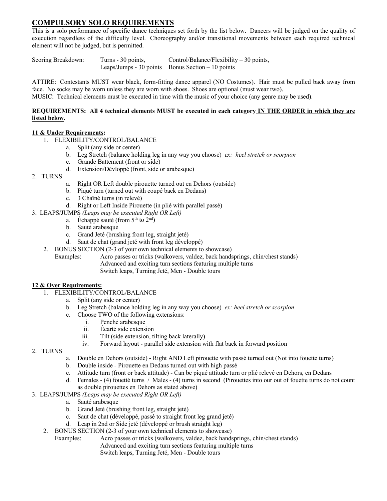### **COMPULSORY SOLO REQUIREMENTS**

This is a solo performance of specific dance techniques set forth by the list below. Dancers will be judged on the quality of execution regardless of the difficulty level. Choreography and/or transitional movements between each required technical element will not be judged, but is permitted.

Scoring Breakdown: Turns - 30 points, Control/Balance/Flexibility – 30 points, Leaps/Jumps -  $30$  points Bonus Section  $-10$  points

ATTIRE: Contestants MUST wear black, form-fitting dance apparel (NO Costumes). Hair must be pulled back away from face. No socks may be worn unless they are worn with shoes. Shoes are optional (must wear two).

MUSIC: Technical elements must be executed in time with the music of your choice (any genre may be used).

#### **REQUIREMENTS: All 4 technical elements MUST be executed in each category IN THE ORDER in which they are listed below.**

### **11 & Under Requirements:**

- 1. FLEXIBILITY/CONTROL/BALANCE
	- a. Split (any side or center)
	- b. Leg Stretch (balance holding leg in any way you choose) *ex: heel stretch or scorpion*
	- c. Grande Battement (front or side)
	- d. Extension/Dévloppé (front, side or arabesque)
- 2. TURNS
- a. Right OR Left double pirouette turned out en Dehors (outside)
- b. Piqué turn (turned out with coupé back en Dedans)
- c. 3 Chaîné turns (in relevé)
- d. Right or Left Inside Pirouette (in plié with parallel passé)
- 3. LEAPS/JUMPS *(Leaps may be executed Right OR Left)*
	- a. Échappé sauté (from  $5<sup>th</sup>$  to  $2<sup>nd</sup>$ )
	- b. Sauté arabesque
	- c. Grand Jeté (brushing front leg, straight jeté)
	- d. Saut de chat (grand jeté with front leg développé)
	- 2. BONUS SECTION (2-3 of your own technical elements to showcase)
		- Examples: Acro passes or tricks (walkovers, valdez, back handsprings, chin/chest stands) Advanced and exciting turn sections featuring multiple turns Switch leaps, Turning Jeté, Men - Double tours

### **12 & Over Requirements:**

- 1. FLEXIBILITY/CONTROL/BALANCE
	- a. Split (any side or center)
	- b. Leg Stretch (balance holding leg in any way you choose) *ex: heel stretch or scorpion*
	- c. Choose TWO of the following extensions:
		- i. Penché arabesque
		- ii. Écarté side extension
		- iii. Tilt (side extension, tilting back laterally)
		- iv. Forward layout parallel side extension with flat back in forward position
- 2. TURNS
- a. Double en Dehors (outside) Right AND Left pirouette with passé turned out (Not into fouette turns)
- b. Double inside Pirouette en Dedans turned out with high passé
- c. Attitude turn (front or back attitude) Can be piqué attitude turn or plié relevé en Dehors, en Dedans
- d. Females (4) fouetté turns / Males (4) turns in second (Pirouettes into our out of fouette turns do not count as double pirouettes en Dehors as stated above)
- 3. LEAPS/JUMPS *(Leaps may be executed Right OR Left)*
	- a. Sauté arabesque
	- b. Grand Jeté (brushing front leg, straight jeté)
	- c. Saut de chat (développé, passé to straight front leg grand jeté)
	- d. Leap in 2nd or Side jeté (développé or brush straight leg)
	- 2. BONUS SECTION (2-3 of your own technical elements to showcase)
		- Examples: Acro passes or tricks (walkovers, valdez, back handsprings, chin/chest stands)
			- Advanced and exciting turn sections featuring multiple turns
				- Switch leaps, Turning Jeté, Men Double tours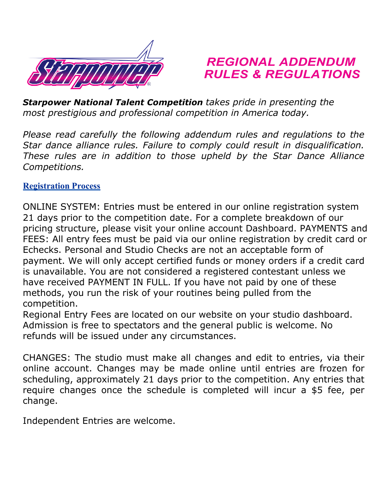

# *REGIONAL ADDENDUM RULES & REGULATIONS*

*Starpower National Talent Competition takes pride in presenting the most prestigious and professional competition in America today.*

*Please read carefully the following addendum rules and regulations to the Star dance alliance rules. Failure to comply could result in disqualification. These rules are in addition to those upheld by the Star Dance Alliance Competitions.*

## **Registration Process**

ONLINE SYSTEM: Entries must be entered in our online registration system 21 days prior to the competition date. For a complete breakdown of our pricing structure, please visit your online account Dashboard. PAYMENTS and FEES: All entry fees must be paid via our online registration by credit card or Echecks. Personal and Studio Checks are not an acceptable form of payment. We will only accept certified funds or money orders if a credit card is unavailable. You are not considered a registered contestant unless we have received PAYMENT IN FULL. If you have not paid by one of these methods, you run the risk of your routines being pulled from the competition.

Regional Entry Fees are located on our website on your studio dashboard. Admission is free to spectators and the general public is welcome. No refunds will be issued under any circumstances.

CHANGES: The studio must make all changes and edit to entries, via their online account. Changes may be made online until entries are frozen for scheduling, approximately 21 days prior to the competition. Any entries that require changes once the schedule is completed will incur a \$5 fee, per change.

Independent Entries are welcome.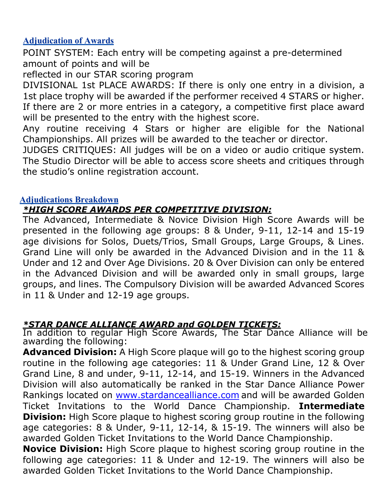## **Adjudication of Awards**

POINT SYSTEM: Each entry will be competing against a pre-determined amount of points and will be

reflected in our STAR scoring program

DIVISIONAL 1st PLACE AWARDS: If there is only one entry in a division, a 1st place trophy will be awarded if the performer received 4 STARS or higher. If there are 2 or more entries in a category, a competitive first place award will be presented to the entry with the highest score.

Any routine receiving 4 Stars or higher are eligible for the National Championships. All prizes will be awarded to the teacher or director.

JUDGES CRITIQUES: All judges will be on a video or audio critique system. The Studio Director will be able to access score sheets and critiques through the studio's online registration account.

## **Adjudications Breakdown**

## *\*HIGH SCORE AWARDS PER COMPETITIVE DIVISION:*

The Advanced, Intermediate & Novice Division High Score Awards will be presented in the following age groups: 8 & Under, 9-11, 12-14 and 15-19 age divisions for Solos, Duets/Trios, Small Groups, Large Groups, & Lines. Grand Line will only be awarded in the Advanced Division and in the 11 & Under and 12 and Over Age Divisions. 20 & Over Division can only be entered in the Advanced Division and will be awarded only in small groups, large groups, and lines. The Compulsory Division will be awarded Advanced Scores in 11 & Under and 12-19 age groups.

## *\*STAR DANCE ALLIANCE AWARD and GOLDEN TICKETS:*

In addition to regular High Score Awards, The Star Dance Alliance will be awarding the following:

**Advanced Division:** A High Score plaque will go to the highest scoring group routine in the following age categories: 11 & Under Grand Line, 12 & Over Grand Line, 8 and under, 9-11, 12-14, and 15-19. Winners in the Advanced Division will also automatically be ranked in the Star Dance Alliance Power Rankings located on [www.stardancealliance.com](http://www.stardancealliance.com/) and will be awarded Golden Ticket Invitations to the World Dance Championship. **Intermediate Division:** High Score plaque to highest scoring group routine in the following age categories: 8 & Under, 9-11, 12-14, & 15-19. The winners will also be awarded Golden Ticket Invitations to the World Dance Championship.

**Novice Division:** High Score plaque to highest scoring group routine in the following age categories: 11 & Under and 12-19. The winners will also be awarded Golden Ticket Invitations to the World Dance Championship.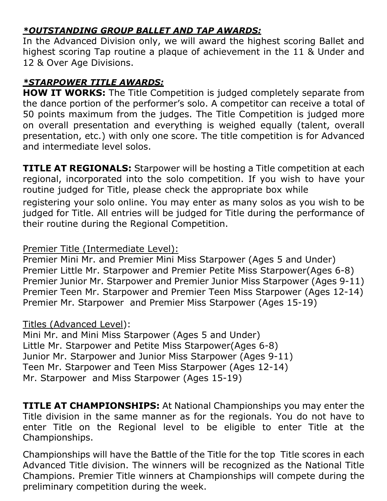# *\*OUTSTANDING GROUP BALLET AND TAP AWARDS:*

In the Advanced Division only, we will award the highest scoring Ballet and highest scoring Tap routine a plaque of achievement in the 11 & Under and 12 & Over Age Divisions.

## *\*STARPOWER TITLE AWARDS:*

**HOW IT WORKS:** The Title Competition is judged completely separate from the dance portion of the performer's solo. A competitor can receive a total of 50 points maximum from the judges. The Title Competition is judged more on overall presentation and everything is weighed equally (talent, overall presentation, etc.) with only one score. The title competition is for Advanced and intermediate level solos.

**TITLE AT REGIONALS:** Starpower will be hosting a Title competition at each regional, incorporated into the solo competition. If you wish to have your routine judged for Title, please check the appropriate box while registering your solo online. You may enter as many solos as you wish to be judged for Title. All entries will be judged for Title during the performance of their routine during the Regional Competition.

## Premier Title (Intermediate Level):

Premier Mini Mr. and Premier Mini Miss Starpower (Ages 5 and Under) Premier Little Mr. Starpower and Premier Petite Miss Starpower(Ages 6-8) Premier Junior Mr. Starpower and Premier Junior Miss Starpower (Ages 9-11) Premier Teen Mr. Starpower and Premier Teen Miss Starpower (Ages 12-14) Premier Mr. Starpower and Premier Miss Starpower (Ages 15-19)

# Titles (Advanced Level):

Mini Mr. and Mini Miss Starpower (Ages 5 and Under) Little Mr. Starpower and Petite Miss Starpower(Ages 6-8) Junior Mr. Starpower and Junior Miss Starpower (Ages 9-11) Teen Mr. Starpower and Teen Miss Starpower (Ages 12-14) Mr. Starpower and Miss Starpower (Ages 15-19)

**TITLE AT CHAMPIONSHIPS:** At National Championships you may enter the Title division in the same manner as for the regionals. You do not have to enter Title on the Regional level to be eligible to enter Title at the Championships.

Championships will have the Battle of the Title for the top Title scores in each Advanced Title division. The winners will be recognized as the National Title Champions. Premier Title winners at Championships will compete during the preliminary competition during the week.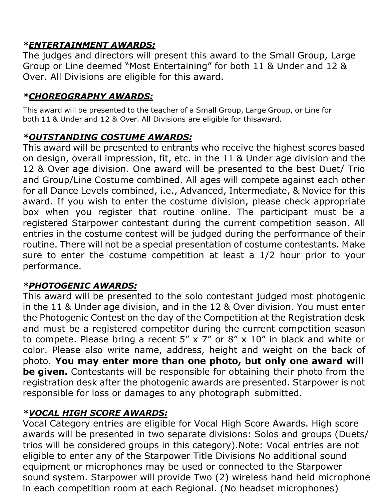# *\*ENTERTAINMENT AWARDS:*

The judges and directors will present this award to the Small Group, Large Group or Line deemed "Most Entertaining" for both 11 & Under and 12 & Over. All Divisions are eligible for this award.

# *\*CHOREOGRAPHY AWARDS:*

This award will be presented to the teacher of a Small Group, Large Group, or Line for both 11 & Under and 12 & Over. All Divisions are eligible for thisaward.

## *\*OUTSTANDING COSTUME AWARDS:*

This award will be presented to entrants who receive the highest scores based on design, overall impression, fit, etc. in the 11 & Under age division and the 12 & Over age division. One award will be presented to the best Duet/ Trio and Group/Line Costume combined. All ages will compete against each other for all Dance Levels combined, i.e., Advanced, Intermediate, & Novice for this award. If you wish to enter the costume division, please check appropriate box when you register that routine online. The participant must be a registered Starpower contestant during the current competition season. All entries in the costume contest will be judged during the performance of their routine. There will not be a special presentation of costume contestants. Make sure to enter the costume competition at least a 1/2 hour prior to your performance.

# *\*PHOTOGENIC AWARDS:*

This award will be presented to the solo contestant judged most photogenic in the 11 & Under age division, and in the 12 & Over division. You must enter the Photogenic Contest on the day of the Competition at the Registration desk and must be a registered competitor during the current competition season to compete. Please bring a recent  $5'' \times 7''$  or  $8'' \times 10''$  in black and white or color. Please also write name, address, height and weight on the back of photo. **You may enter more than one photo, but only one award will be given.** Contestants will be responsible for obtaining their photo from the registration desk after the photogenic awards are presented. Starpower is not responsible for loss or damages to any photograph submitted.

# *\*VOCAL HIGH SCORE AWARDS:*

Vocal Category entries are eligible for Vocal High Score Awards. High score awards will be presented in two separate divisions: Solos and groups (Duets/ trios will be considered groups in this category).Note: Vocal entries are not eligible to enter any of the Starpower Title Divisions No additional sound equipment or microphones may be used or connected to the Starpower sound system. Starpower will provide Two (2) wireless hand held microphone in each competition room at each Regional. (No headset microphones)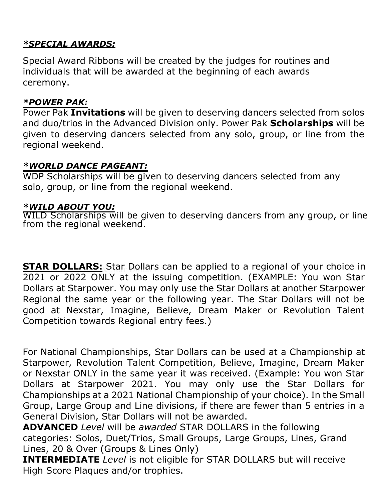## *\*SPECIAL AWARDS:*

Special Award Ribbons will be created by the judges for routines and individuals that will be awarded at the beginning of each awards ceremony.

## *\*POWER PAK:*

Power Pak **Invitations** will be given to deserving dancers selected from solos and duo/trios in the Advanced Division only. Power Pak **Scholarships** will be given to deserving dancers selected from any solo, group, or line from the regional weekend.

## *\*WORLD DANCE PAGEANT:*

WDP Scholarships will be given to deserving dancers selected from any solo, group, or line from the regional weekend.

## *\*WILD ABOUT YOU:*

WILD Scholarships will be given to deserving dancers from any group, or line from the regional weekend.

**STAR DOLLARS:** Star Dollars can be applied to a regional of your choice in 2021 or 2022 ONLY at the issuing competition. (EXAMPLE: You won Star Dollars at Starpower. You may only use the Star Dollars at another Starpower Regional the same year or the following year. The Star Dollars will not be good at Nexstar, Imagine, Believe, Dream Maker or Revolution Talent Competition towards Regional entry fees.)

For National Championships, Star Dollars can be used at a Championship at Starpower, Revolution Talent Competition, Believe, Imagine, Dream Maker or Nexstar ONLY in the same year it was received. (Example: You won Star Dollars at Starpower 2021. You may only use the Star Dollars for Championships at a 2021 National Championship of your choice). In the Small Group, Large Group and Line divisions, if there are fewer than 5 entries in a General Division, Star Dollars will not be awarded.

**ADVANCED** *Level* will be *awarded* STAR DOLLARS in the following categories: Solos, Duet/Trios, Small Groups, Large Groups, Lines, Grand Lines, 20 & Over (Groups & Lines Only)

**INTERMEDIATE** *Level* is not eligible for STAR DOLLARS but will receive High Score Plaques and/or trophies.